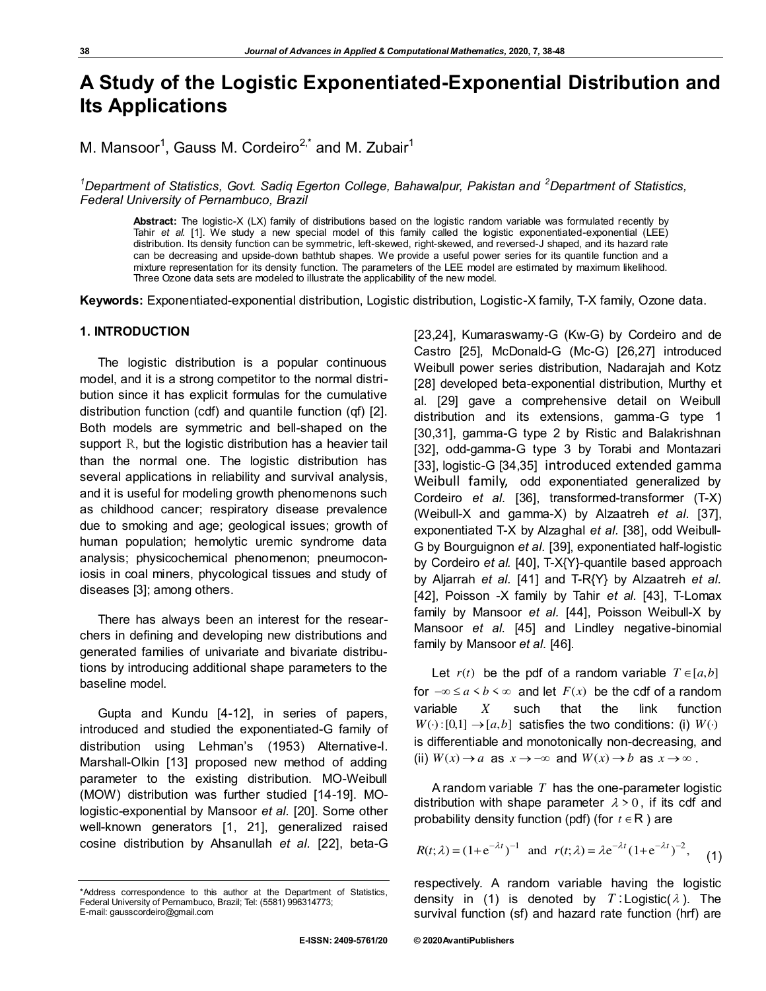# **A Study of the Logistic Exponentiated-Exponential Distribution and Its Applications**

M. Mansoor<sup>1</sup>, Gauss M. Cordeiro<sup>2,\*</sup> and M. Zubair<sup>1</sup>

<sup>1</sup>Department of Statistics, Govt. Sadiq Egerton College, Bahawalpur, Pakistan and <sup>2</sup>Department of Statistics, *Federal University of Pernambuco, Brazil* 

**Abstract:** The logistic-X (LX) family of distributions based on the logistic random variable was formulated recently by Tahir *et al.* [1]. We study a new special model of this family called the logistic exponentiated-exponential (LEE) distribution. Its density function can be symmetric, left-skewed, right-skewed, and reversed-J shaped, and its hazard rate can be decreasing and upside-down bathtub shapes. We provide a useful power series for its quantile function and a mixture representation for its density function. The parameters of the LEE model are estimated by maximum likelihood. Three Ozone data sets are modeled to illustrate the applicability of the new model.

**Keywords:** Exponentiated-exponential distribution, Logistic distribution, Logistic-X family, T-X family, Ozone data.

# **1. INTRODUCTION**

The logistic distribution is a popular continuous model, and it is a strong competitor to the normal distribution since it has explicit formulas for the cumulative distribution function (cdf) and quantile function (qf) [2]. Both models are symmetric and bell-shaped on the support R, but the logistic distribution has a heavier tail than the normal one. The logistic distribution has several applications in reliability and survival analysis, and it is useful for modeling growth phenomenons such as childhood cancer; respiratory disease prevalence due to smoking and age; geological issues; growth of human population; hemolytic uremic syndrome data analysis; physicochemical phenomenon; pneumoconiosis in coal miners, phycological tissues and study of diseases [3]; among others.

There has always been an interest for the researchers in defining and developing new distributions and generated families of univariate and bivariate distributions by introducing additional shape parameters to the baseline model.

Gupta and Kundu [4-12], in series of papers, introduced and studied the exponentiated-G family of distribution using Lehman's (1953) Alternative-I. Marshall-Olkin [13] proposed new method of adding parameter to the existing distribution. MO-Weibull (MOW) distribution was further studied [14-19]. MOlogistic-exponential by Mansoor *et al.* [20]. Some other well-known generators [1, 21], generalized raised cosine distribution by Ahsanullah *et al.* [22], beta-G [23,24], Kumaraswamy-G (Kw-G) by Cordeiro and de Castro [25], McDonald-G (Mc-G) [26,27] introduced Weibull power series distribution, Nadarajah and Kotz [28] developed beta-exponential distribution, Murthy et al. [29] gave a comprehensive detail on Weibull distribution and its extensions, gamma-G type 1 [30,31], gamma-G type 2 by Ristic and Balakrishnan [32], odd-gamma-G type 3 by Torabi and Montazari [33], logistic-G [34,35] introduced extended gamma Weibull family, odd exponentiated generalized by Cordeiro *et al.* [36], transformed-transformer (T-X) (Weibull-X and gamma-X) by Alzaatreh *et al.* [37], exponentiated T-X by Alzaghal *et al.* [38], odd Weibull-G by Bourguignon *et al.* [39], exponentiated half-logistic by Cordeiro *et al.* [40], T-X{Y}-quantile based approach by Aljarrah *et al.* [41] and T-R{Y} by Alzaatreh *et al.* [42], Poisson -X family by Tahir *et al.* [43], T-Lomax family by Mansoor *et al.* [44], Poisson Weibull-X by Mansoor *et al*. [45] and Lindley negative-binomial family by Mansoor *et al.* [46].

Let  $r(t)$  be the pdf of a random variable  $T \in [a,b]$ for  $-\infty \le a \le b \le \infty$  and let  $F(x)$  be the cdf of a random variable *X* such that the link function  $W(\cdot): [0,1] \rightarrow [a,b]$  satisfies the two conditions: (i)  $W(\cdot)$ is differentiable and monotonically non-decreasing, and (ii)  $W(x) \rightarrow a$  as  $x \rightarrow -\infty$  and  $W(x) \rightarrow b$  as  $x \rightarrow \infty$ .

A random variable *T* has the one-parameter logistic distribution with shape parameter  $\lambda > 0$ , if its cdf and probability density function (pdf) (for  $t \in \mathsf{R}$ ) are

$$
R(t; \lambda) = (1 + e^{-\lambda t})^{-1} \text{ and } r(t; \lambda) = \lambda e^{-\lambda t} (1 + e^{-\lambda t})^{-2}, \quad (1)
$$

respectively. A random variable having the logistic density in (1) is denoted by  $T:$  Logistic( $\lambda$ ). The survival function (sf) and hazard rate function (hrf) are

<sup>\*</sup>Address correspondence to this author at the Department of Statistics, Federal University of Pernambuco, Brazil; Tel: (5581) 996314773; E-mail: gausscordeiro@gmail.com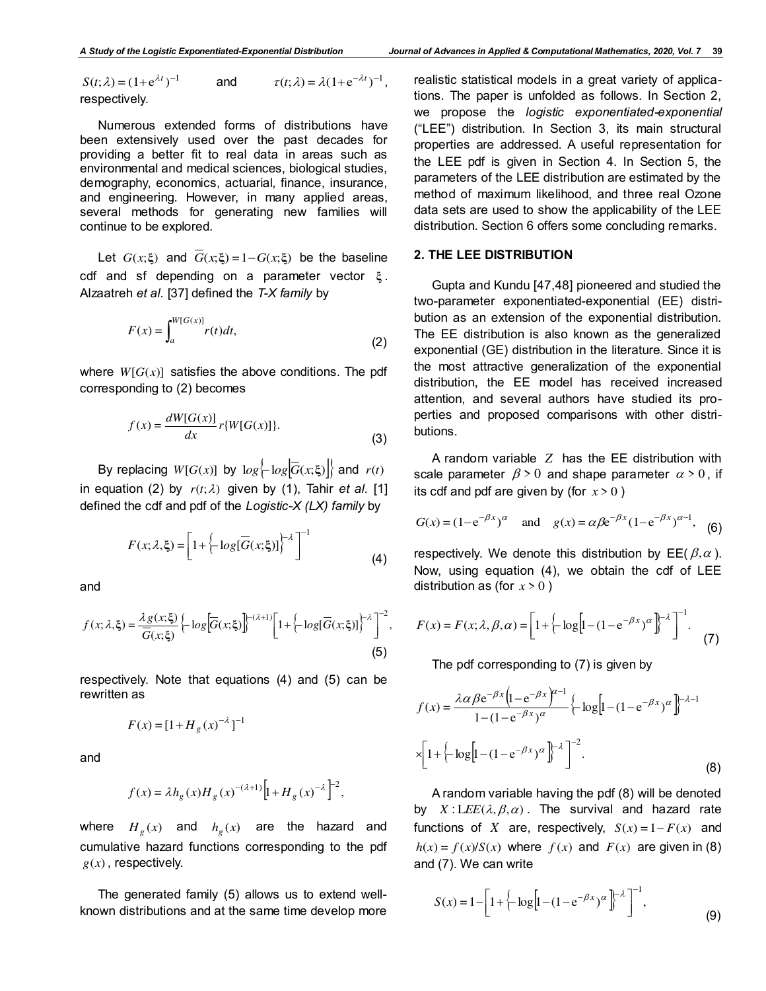$S(t; \lambda) = (1 + e^{\lambda t})^{-1}$  $\lambda$ ) = (1+e<sup> $\lambda$ t</sup>)<sup>-1</sup> and  $\tau(t; \lambda) = \lambda(1 + e^{-\lambda t})^{-1}$ , respectively.

Numerous extended forms of distributions have been extensively used over the past decades for providing a better fit to real data in areas such as environmental and medical sciences, biological studies, demography, economics, actuarial, finance, insurance, and engineering. However, in many applied areas, several methods for generating new families will continue to be explored.

Let  $G(x;\xi)$  and  $\overline{G}(x;\xi) = 1 - G(x;\xi)$  be the baseline cdf and sf depending on a parameter vector **ξ** . Alzaatreh *et al.* [37] defined the *T-X family* by

$$
F(x) = \int_{a}^{W[G(x)]} r(t)dt,
$$
\n(2)

where  $W[G(x)]$  satisfies the above conditions. The pdf corresponding to (2) becomes

$$
f(x) = \frac{dW[G(x)]}{dx} r\{W[G(x)]\}.
$$
 (3)

By replacing  $W[G(x)]$  by  $log \left\{ log \left| \overline{G}(x;\xi) \right| \right\}$  and  $r(t)$ in equation (2) by  $r(t; \lambda)$  given by (1), Tahir *et al.* [1] defined the cdf and pdf of the *Logistic-X (LX) family* by

$$
F(x; \lambda, \xi) = \left[1 + \left\{-\log[\overline{G}(x; \xi)]\right\}^{-\lambda}\right]^{-1}
$$
\n(4)

and

$$
f(x; \lambda, \xi) = \frac{\lambda g(x; \xi)}{\overline{G}(x; \xi)} \left\{ -\log \left[ \overline{G}(x; \xi) \right] \right\}^{-(\lambda+1)} \left[ 1 + \left\{ -\log \left[ \overline{G}(x; \xi) \right] \right\}^{-\lambda} \right]^{-2},\tag{5}
$$

respectively. Note that equations (4) and (5) can be rewritten as

$$
F(x) = [1 + H_g(x)^{-\lambda}]^{-1}
$$

and

$$
f(x) = \lambda h_g(x) H_g(x)^{-(\lambda+1)} \left[ 1 + H_g(x)^{-\lambda} \right]^2,
$$

where  $H_g(x)$  and  $h_g(x)$  are the hazard and cumulative hazard functions corresponding to the pdf  $g(x)$ , respectively.

The generated family (5) allows us to extend wellknown distributions and at the same time develop more realistic statistical models in a great variety of applications. The paper is unfolded as follows. In Section 2, we propose the *logistic exponentiated-exponential* ("LEE") distribution. In Section 3, its main structural properties are addressed. A useful representation for the LEE pdf is given in Section 4. In Section 5, the parameters of the LEE distribution are estimated by the method of maximum likelihood, and three real Ozone data sets are used to show the applicability of the LEE distribution. Section 6 offers some concluding remarks.

## **2. THE LEE DISTRIBUTION**

Gupta and Kundu [47,48] pioneered and studied the two-parameter exponentiated-exponential (EE) distribution as an extension of the exponential distribution. The EE distribution is also known as the generalized exponential (GE) distribution in the literature. Since it is the most attractive generalization of the exponential distribution, the EE model has received increased attention, and several authors have studied its properties and proposed comparisons with other distributions.

A random variable *Z* has the EE distribution with scale parameter  $\beta > 0$  and shape parameter  $\alpha > 0$ , if its cdf and pdf are given by (for  $x > 0$ )

$$
G(x) = (1 - e^{-\beta x})^{\alpha}
$$
 and  $g(x) = \alpha \beta e^{-\beta x} (1 - e^{-\beta x})^{\alpha - 1}$ , (6)

respectively. We denote this distribution by  $E E(\beta, \alpha)$ . Now, using equation (4), we obtain the cdf of LEE distribution as (for  $x > 0$ )

$$
F(x) = F(x; \lambda, \beta, \alpha) = \left[1 + \left(-\log\left[1 - (1 - e^{-\beta x})^{\alpha}\right]^{1-\lambda}\right]^{-1}\right].
$$
 (7)

The pdf corresponding to (7) is given by

$$
f(x) = \frac{\lambda \alpha \beta e^{-\beta x} \left( 1 - e^{-\beta x} \right)^{\alpha - 1}}{1 - (1 - e^{-\beta x})^{\alpha}} \left\{ -\log \left[ 1 - (1 - e^{-\beta x})^{\alpha} \right] \right\}^{-\lambda - 1}
$$

$$
\times \left[ 1 + \left\{ -\log \left[ 1 - (1 - e^{-\beta x})^{\alpha} \right] \right\}^{-\lambda} \right]^{-2}.
$$
(8)

 A random variable having the pdf (8) will be denoted by  $X: LEE(\lambda, \beta, \alpha)$ . The survival and hazard rate functions of *X* are, respectively,  $S(x) = 1 - F(x)$  and  $h(x) = f(x)/S(x)$  where  $f(x)$  and  $F(x)$  are given in (8) and (7). We can write

$$
S(x) = 1 - \left[1 + \left(-\log\left[1 - (1 - e^{-\beta x})^{\alpha}\right]^{1-\lambda}\right]^{-1},\right]
$$
\n(9)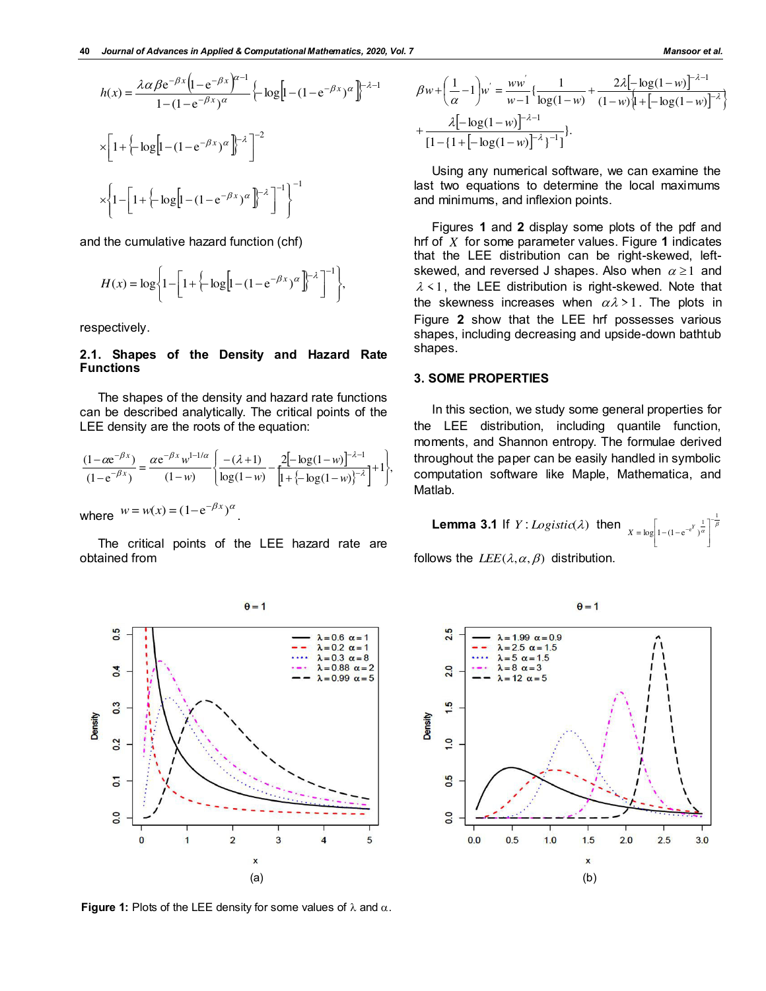$$
h(x) = \frac{\lambda \alpha \beta e^{-\beta x} \left( 1 - e^{-\beta x} \right)^{\alpha - 1}}{1 - (1 - e^{-\beta x})^{\alpha}} \left\{ -\log \left[ 1 - (1 - e^{-\beta x})^{\alpha} \right] \right\}^{-\lambda - 1}
$$

$$
\times \left[ 1 + \left\{ -\log \left[ 1 - (1 - e^{-\beta x})^{\alpha} \right] \right\}^{-\lambda} \right]^{-2}
$$

$$
\times \left\{ 1 - \left[ 1 + \left\{ -\log \left[ 1 - (1 - e^{-\beta x})^{\alpha} \right] \right\}^{-\lambda} \right]^{-1} \right\}^{-1}
$$

and the cumulative hazard function (chf)

$$
H(x) = \log \left\{ 1 - \left[ 1 + \left\{ -\log \left[ 1 - (1 - e^{-\beta x})^{\alpha} \right]^{1-\lambda} \right]^{-1} \right\},\right\}
$$

respectively.

# **2.1. Shapes of the Density and Hazard Rate Functions**

The shapes of the density and hazard rate functions can be described analytically. The critical points of the LEE density are the roots of the equation:

$$
\frac{(1-\alpha e^{-\beta x})}{(1-e^{-\beta x})} = \frac{\alpha e^{-\beta x} w^{1-1/\alpha}}{(1-w)} \left\{ \frac{-(\lambda+1)}{\log(1-w)} - \frac{2[-\log(1-w)]^{-\lambda-1}}{1+\{-\log(1-w)\}^{-\lambda}} \right\} + 1 \right\},\,
$$

.

where  $w = w(x) = (1 - e^{-\beta x})^{\alpha}$ 

The critical points of the LEE hazard rate are obtained from



**Figure 1:** Plots of the LEE density for some values of  $\lambda$  and  $\alpha$ .

$$
\beta w + \left(\frac{1}{\alpha} - 1\right) w^{2} = \frac{w w^{2}}{w - 1} \left\{ \frac{1}{\log(1 - w)} + \frac{2\lambda [-\log(1 - w)]^{-\lambda - 1}}{(1 - w)\left[1 + [-\log(1 - w)]^{-\lambda}\right]} + \frac{\lambda [-\log(1 - w)]^{-\lambda - 1}}{\left[1 - \left\{1 + [-\log(1 - w)]^{-\lambda}\right\}^{-1}\right]}\right\}.
$$

Using any numerical software, we can examine the last two equations to determine the local maximums and minimums, and inflexion points.

Figures **1** and **2** display some plots of the pdf and hrf of *X* for some parameter values. Figure **1** indicates that the LEE distribution can be right-skewed, leftskewed, and reversed J shapes. Also when  $\alpha \geq 1$  and  $\lambda$  < 1, the LEE distribution is right-skewed. Note that the skewness increases when  $\alpha\lambda > 1$ . The plots in Figure **2** show that the LEE hrf possesses various shapes, including decreasing and upside-down bathtub shapes.

# **3. SOME PROPERTIES**

In this section, we study some general properties for the LEE distribution, including quantile function, moments, and Shannon entropy. The formulae derived throughout the paper can be easily handled in symbolic computation software like Maple, Mathematica, and Matlab.

**Lemma 3.1** If 
$$
Y : Logistic(\lambda)
$$
 then 
$$
X = \log \left[ 1 - (1 - e^{-e^Y})^{\frac{1}{\alpha}} \right]^{-\frac{1}{\beta}}
$$

follows the  $LEE(\lambda, \alpha, \beta)$  distribution.

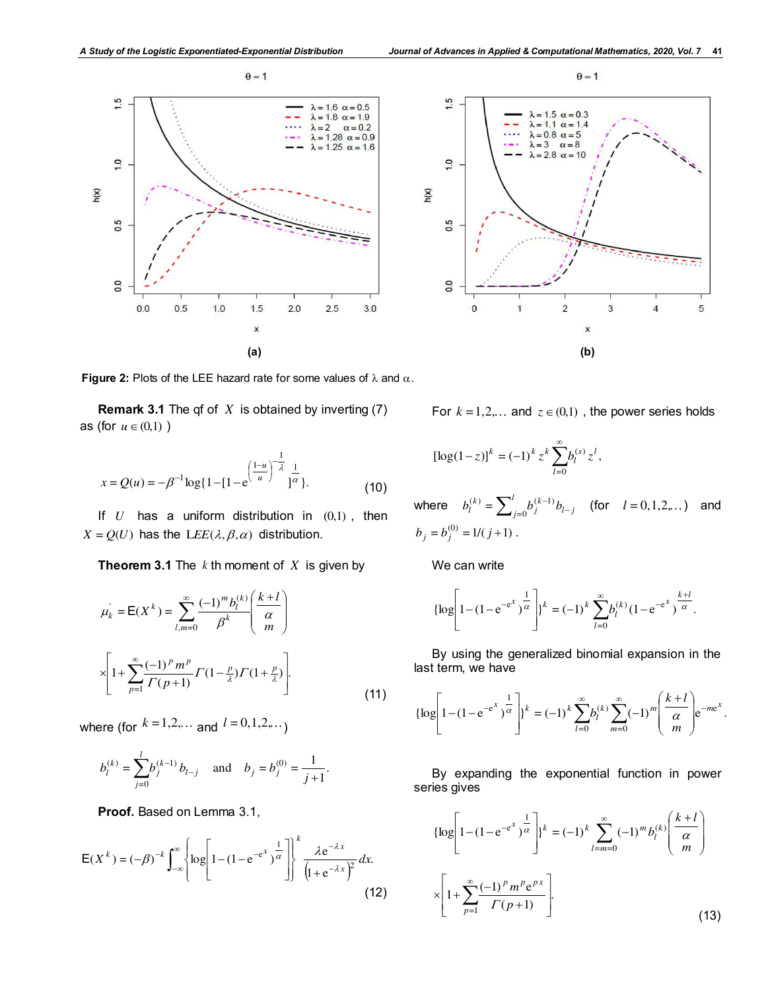



**Figure 2:** Plots of the LEE hazard rate for some values of  $\lambda$  and  $\alpha$ .

**Remark 3.1** The qf of *X* is obtained by inverting (7) as (for  $u \in (0,1)$ )

$$
x = Q(u) = -\beta^{-1} \log\{1 - [1 - e^{\left(\frac{1-u}{u}\right)^{-\frac{1}{\lambda}}}\frac{1}{1^{\alpha}}\}.
$$
 (10)

If *U* has a uniform distribution in (0,1) , then  $X = Q(U)$  has the  $LEE(\lambda, \beta, \alpha)$  distribution.

**Theorem 3.1** The *k* th moment of *X* is given by

$$
\mu_{k}^{'} = \mathsf{E}(X^{k}) = \sum_{l,m=0}^{\infty} \frac{(-1)^{m} b_{l}^{(k)}}{\beta^{k}} \left(\frac{k+l}{\alpha}\right)
$$

$$
\times \left[1 + \sum_{p=1}^{\infty} \frac{(-1)^{p} m^{p}}{\Gamma(p+1)} \Gamma(1-\frac{p}{\lambda}) \Gamma(1+\frac{p}{\lambda})\right].
$$
(11)

where (for  $k = 1, 2, \dots$  and  $l = 0, 1, 2, \dots$ )

$$
b_l^{(k)} = \sum_{j=0}^l b_j^{(k-1)} b_{l-j}
$$
 and  $b_j = b_j^{(0)} = \frac{1}{j+1}$ .

**Proof.** Based on Lemma 3.1,

$$
E(X^{k}) = (-\beta)^{-k} \int_{-\infty}^{\infty} \left\{ \log \left[ 1 - (1 - e^{-e^{x}})^{\frac{1}{\alpha}} \right] \right\}^{k} \frac{\lambda e^{-\lambda x}}{\left( 1 + e^{-\lambda x} \right)^{2}} dx.
$$
\n(12)

For 
$$
k = 1, 2, \ldots
$$
 and  $z \in (0, 1)$ , the power series holds

$$
[\log(1-z)]^k = (-1)^k z^k \sum_{l=0}^{\infty} b_l^{(s)} z^l,
$$

where  $b_l^{(k)} = \sum_{i=0}^{l} b_j^{(k-1)} b_{l-j}$ *l j*  $b_l^{(k)} = \sum_{j=0}^l b_j^{(k-1)} b_{l-1}$  $=0$  $\mathcal{L}_{l}^{(k)} = \sum_{i=0}^{l} b_i^{(k-1)} b_{l-i}$  (for  $l = 0,1,2,...$ ) and  $b_j = b_j^{(0)} = 1/(j+1)$ .

We can write

$$
\{\log\left[1-(1-e^{-e^{x}})^{\frac{1}{\alpha}}\right]\}^{k} = (-1)^{k} \sum_{l=0}^{\infty} b_{l}^{(k)} (1-e^{-e^{x}})^{\frac{k+l}{\alpha}}.
$$

By using the generalized binomial expansion in the last term, we have

$$
\left\{\log\left[1-(1-e^{-e^{x}})^{\frac{1}{\alpha}}\right]\right\}^{k} = (-1)^{k} \sum_{l=0}^{\infty} b_{l}^{(k)} \sum_{m=0}^{\infty} (-1)^{m} \left(\frac{k+l}{\alpha}\right) e^{-mc^{x}}.
$$

By expanding the exponential function in power series gives

$$
\left\{ \log \left[ 1 - (1 - e^{-e^{x}})^{\frac{1}{\alpha}} \right] \right\}^{k} = (-1)^{k} \sum_{l=m=0}^{\infty} (-1)^{m} b_{l}^{(k)} \left( \frac{k+l}{\alpha} \right)
$$

$$
\times \left[ 1 + \sum_{p=1}^{\infty} \frac{(-1)^{p} m^{p} e^{px}}{\Gamma(p+1)} \right].
$$
(13)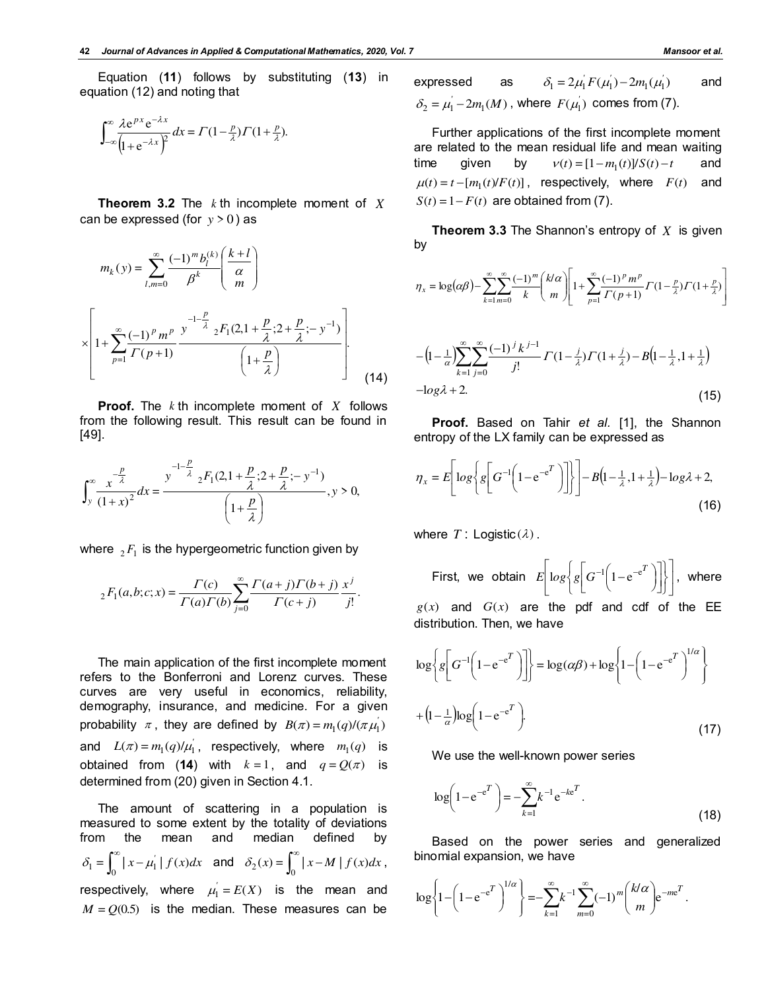Equation (**11**) follows by substituting (**13**) in equation (12) and noting that

$$
\int_{-\infty}^{\infty} \frac{\lambda e^{px} e^{-\lambda x}}{\left(1 + e^{-\lambda x}\right)^2} dx = \Gamma(1 - \frac{p}{\lambda}) \Gamma(1 + \frac{p}{\lambda}).
$$

**Theorem 3.2** The *k* th incomplete moment of *X* can be expressed (for  $y > 0$ ) as

$$
m_k(y) = \sum_{l,m=0}^{\infty} \frac{(-1)^m b_l^{(k)} \left(\frac{k+l}{\alpha}\right)}{\beta^k}
$$

$$
\times \left[1 + \sum_{p=1}^{\infty} \frac{(-1)^p m^p}{\Gamma(p+1)} \frac{y^{-1-\frac{p}{\lambda}}}{\left(1+\frac{p}{\lambda}\right)^2} \frac{F_1(2,1+\frac{p}{\lambda};2+\frac{p}{\lambda};-y^{-1})}{\left(1+\frac{p}{\lambda}\right)}\right].
$$
(14)

**Proof.** The *k* th incomplete moment of *X* follows from the following result. This result can be found in [49].

$$
\int_{y}^{\infty} \frac{x^{\frac{p}{\lambda}}}{(1+x)^2} dx = \frac{y^{-1-\frac{p}{\lambda}} 2F_1(2, 1+\frac{p}{\lambda}; 2+\frac{p}{\lambda}; -y^{-1})}{\left(1+\frac{p}{\lambda}\right)}, y > 0,
$$

where  $\,{}_{2}F_{1}$  is the hypergeometric function given by

$$
{}_{2}F_{1}(a,b;c;x) = \frac{\Gamma(c)}{\Gamma(a)\Gamma(b)} \sum_{j=0}^{\infty} \frac{\Gamma(a+j)\Gamma(b+j)}{\Gamma(c+j)} \frac{x^{j}}{j!}.
$$

The main application of the first incomplete moment refers to the Bonferroni and Lorenz curves. These curves are very useful in economics, reliability, demography, insurance, and medicine. For a given probability  $\pi$ , they are defined by  $B(\pi) = m_1(q)/(\pi \mu_1)$ and  $L(\pi) = m_1(q)/\mu_1'$ , respectively, where  $m_1(q)$  is obtained from (14) with  $k = 1$ , and  $q = Q(\pi)$  is determined from (20) given in Section 4.1.

The amount of scattering in a population is measured to some extent by the totality of deviations from the mean and median defined by  $\delta_1 = \int_0^\infty |x - \mu_1| |f(x)| dx$  and  $\delta_2(x) = \int_0^\infty |x - M| |f(x)| dx$ , respectively, where  $\mu_1 = E(X)$  is the mean and  $M = Q(0.5)$  is the median. These measures can be

expressed as  $\delta_1 = 2\mu_1' F(\mu_1') - 2m_1(\mu_1')$  and  $\delta_2 = \mu_1 - 2m_1(M)$ , where  $F(\mu_1)$  comes from (7).

Further applications of the first incomplete moment are related to the mean residual life and mean waiting time given by  $v(t) = [1 - m_1(t)]/S(t) - t$  and  $\mu(t) = t - [m_1(t)/F(t)]$ , respectively, where  $F(t)$  and  $S(t) = 1 - F(t)$  are obtained from (7).

**Theorem 3.3** The Shannon's entropy of *X* is given by

$$
\eta_x = \log(\alpha \beta) - \sum_{k=1}^{\infty} \sum_{m=0}^{\infty} \frac{(-1)^m}{k} {k/\alpha \choose m} \left[ 1 + \sum_{p=1}^{\infty} \frac{(-1)^p m^p}{\Gamma(p+1)} \Gamma(1 - \frac{p}{\lambda}) \Gamma(1 + \frac{p}{\lambda}) \right]
$$

$$
-\left(1-\frac{1}{\alpha}\right)\sum_{k=1}^{\infty}\sum_{j=0}^{\infty}\frac{(-1)^{j}k^{j-1}}{j!}\Gamma(1-\frac{j}{\lambda})\Gamma(1+\frac{j}{\lambda})-B\left(1-\frac{1}{\lambda},1+\frac{1}{\lambda}\right)
$$
  
-log $\lambda$  + 2. (15)

**Proof.** Based on Tahir *et al.* [1], the Shannon entropy of the LX family can be expressed as

$$
\eta_x = E\left[ \log \left\{ g \left[ G^{-1} \left( 1 - e^{-c^T} \right) \right] \right\} \right] - B \left( 1 - \frac{1}{\lambda}, 1 + \frac{1}{\lambda} \right) - \log \lambda + 2,
$$
\n(16)

where  $T:$  Logistic  $(\lambda)$ .

First, we obtain  $E|\log \left\{g \right| G^{-1}|\left|1-\mathrm{e}^{-\mathrm{e}^{-}}\right|\left|\left.\right\rangle\right|$  $\overline{\phantom{a}}$  $\overline{\phantom{a}}$  $\overline{\phantom{a}}$ L  $\mathbf{r}$ J  $\left\{ \right.$  $\mathbf{I}$  $\overline{\mathfrak{l}}$ ⇃  $\left\lceil \right\rceil$  $\overline{\phantom{a}}$  $\overline{\phantom{a}}$  $\overline{\phantom{a}}$  $G^{-1}(1-e^{-e^{T}})$  $\left(1-e^{-e^{T}}\right)$  $E\big|\log\bigl\{\left. g \right| G^{-1}\bigl(1-{\rm e}^{-{\rm e}^T}\,\bigr)\bigl|\bigl\{\left. \right|, \; {\sf where} \; \right\}$  $g(x)$  and  $G(x)$  are the pdf and cdf of the EE distribution. Then, we have

$$
\log \left\{ g \left[ G^{-1} \left( 1 - e^{-e^{T}} \right) \right] \right\} = \log(\alpha \beta) + \log \left\{ 1 - \left( 1 - e^{-e^{T}} \right)^{1/\alpha} \right\}
$$

$$
+ \left( 1 - \frac{1}{\alpha} \right) \log \left( 1 - e^{-e^{T}} \right). \tag{17}
$$

We use the well-known power series

$$
\log\left(1 - e^{-e^{T}}\right) = -\sum_{k=1}^{\infty} k^{-1} e^{-ke^{T}}.
$$
\n(18)

Based on the power series and generalized binomial expansion, we have

$$
\log\left\{1-\left(1-e^{-e^{T}}\right)^{1/\alpha}\right\}=-\sum_{k=1}^{\infty}k^{-1}\sum_{m=0}^{\infty}(-1)^{m}\binom{k/\alpha}{m}e^{-m e^{T}}.
$$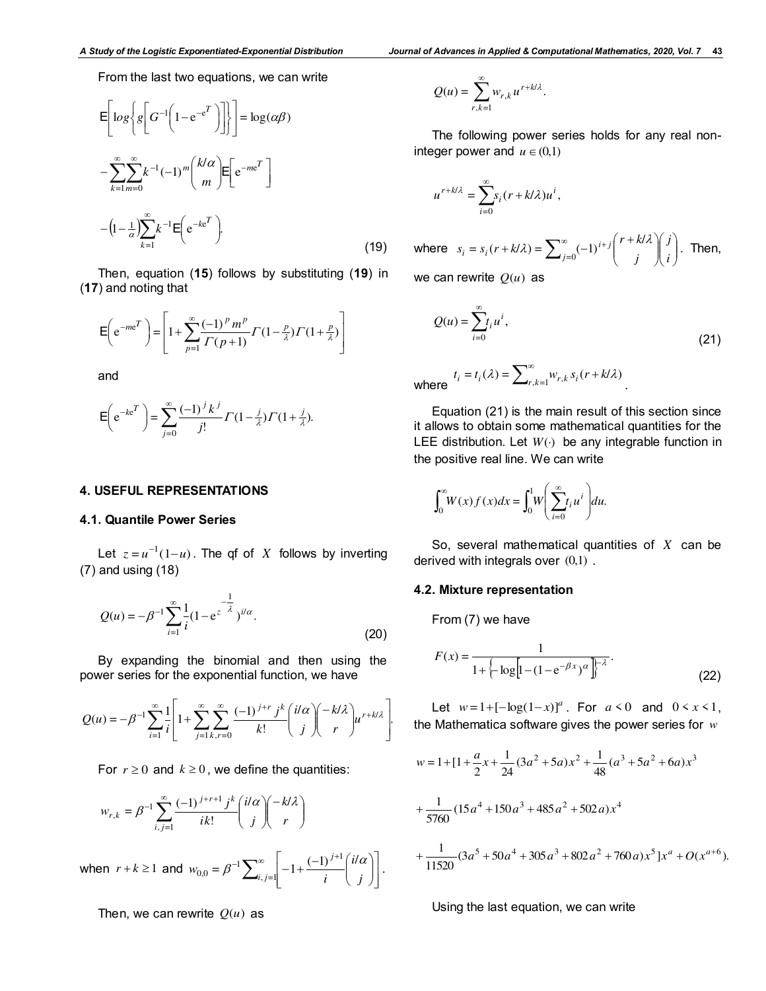From the last two equations, we can write

$$
E\left[log\left\{g\left[G^{-1}\left(1-e^{-e^{T}}\right)\right]\right\}\right] = log(\alpha\beta)
$$

$$
-\sum_{k=1}^{\infty}\sum_{m=0}^{\infty}k^{-1}(-1)^{m}\binom{k/\alpha}{m}E\left[e^{-me^{T}}\right]
$$

$$
-\left(1-\frac{1}{\alpha}\right)\sum_{k=1}^{\infty}k^{-1}E\left(e^{-ke^{T}}\right).
$$
(19)

Then, equation (**15**) follows by substituting (**19**) in (**17**) and noting that

$$
E\left(e^{-me^{T}}\right) = \left[1 + \sum_{p=1}^{\infty} \frac{(-1)^{p} m^{p}}{\Gamma(p+1)} \Gamma(1 - \frac{p}{\lambda}) \Gamma(1 + \frac{p}{\lambda})\right]
$$

and

$$
E\left(e^{-ke^{T}}\right) = \sum_{j=0}^{\infty} \frac{(-1)^{j} k^{j}}{j!} \Gamma(1 - \frac{j}{\lambda}) \Gamma(1 + \frac{j}{\lambda}).
$$

#### **4. USEFUL REPRESENTATIONS**

## **4.1. Quantile Power Series**

Let  $z = u^{-1}(1 - u)$ . The qf of *X* follows by inverting (7) and using (18)

$$
Q(u) = -\beta^{-1} \sum_{i=1}^{\infty} \frac{1}{i} (1 - e^{z^{-\frac{1}{\lambda}}})^{i/\alpha}.
$$
 (20)

By expanding the binomial and then using the power series for the exponential function, we have

$$
Q(u) = -\beta^{-1} \sum_{i=1}^{\infty} \frac{1}{i} \left[ 1 + \sum_{j=1}^{\infty} \sum_{k,r=0}^{\infty} \frac{(-1)^{j+r} j^k \binom{i/\alpha}{j} - k/\lambda}{r} u^{r+k/\lambda} \right].
$$

For  $r \geq 0$  and  $k \geq 0$ , we define the quantities:

$$
w_{r,k} = \beta^{-1} \sum_{i,j=1}^{\infty} \frac{(-1)^{j+r+1} j^k}{i k!} \binom{i/\alpha}{j} \binom{-k/\lambda}{r}
$$

when  $r + k \geq 1$  and  $\overline{\phantom{a}}$  $\overline{\phantom{a}}$  $\rfloor$  $\overline{\phantom{a}}$  $\mathsf{I}$  $\mathbf{r}$ L  $\overline{\phantom{a}}$  $\vert$ J  $\backslash$  $\parallel$  $\setminus$  $-1+\frac{(-1)^{j+1}}{j}$  $-1\sum_{i,j=1}^{\infty}\left[-1+\frac{(-1)^{j+1}}{i}\right]^{i}i'$  $w_{0,0} = \beta^{-1} \sum_{i,j=1}^{N} \left| -1 + \frac{(1+i)^2}{i} \right|$ *j ji*  $= \beta^{-1} \sum_{i=1}^{\infty} \left| -1 + \frac{(-1)^{i+1}}{i} \right|^{i} d\alpha$ 1  $, j=1$  $I_{0,0} = \beta^{-1} \sum_{i,j=1}^{\infty} \left| -1 + \frac{(-1)^{j}}{j} \right| \left| \frac{d\alpha}{d\alpha} \right| \, .$ 

Then, we can rewrite  $Q(u)$  as

$$
Q(u) = \sum_{r,k=1}^{\infty} w_{r,k} u^{r+k/\lambda}.
$$

The following power series holds for any real noninteger power and  $u \in (0,1)$ 

$$
u^{r+k/\lambda} = \sum_{i=0}^{\infty} s_i (r+k/\lambda) u^i,
$$

where 
$$
s_i = s_i(r + k/\lambda) = \sum_{j=0}^{\infty} (-1)^{i+j} \binom{r + k/\lambda}{j} \binom{j}{i}
$$
. Then,

we can rewrite  $O(u)$  as

$$
Q(u) = \sum_{i=0}^{\infty} t_i u^i,
$$
\n(21)

where  $t_i = t_i(\lambda) = \sum_{r,k=1}^{\infty} w_{r,k} s_i(r + k/\lambda)$ .

Equation (21) is the main result of this section since it allows to obtain some mathematical quantities for the LEE distribution. Let  $W(\cdot)$  be any integrable function in the positive real line. We can write

$$
\int_0^\infty W(x)f(x)dx = \int_0^1 W\left(\sum_{i=0}^\infty t_i u^i\right) du.
$$

So, several mathematical quantities of *X* can be derived with integrals over  $(0,1)$ .

#### **4.2. Mixture representation**

From (7) we have

$$
F(x) = \frac{1}{1 + \left\{-\log\left[1 - (1 - e^{-\beta x})^{\alpha}\right]\right\}^{-\lambda}}.
$$
\n(22)

Let  $w=1+[-\log(1-x)]^a$ . For  $a < 0$  and  $0 < x < 1$ , the Mathematica software gives the power series for *w*

$$
w = 1 + [1 + \frac{a}{2}x + \frac{1}{24}(3a^2 + 5a)x^2 + \frac{1}{48}(a^3 + 5a^2 + 6a)x^3
$$
  
+ 
$$
\frac{1}{5760}(15a^4 + 150a^3 + 485a^2 + 502a)x^4
$$
  
+ 
$$
\frac{1}{11520}(3a^5 + 50a^4 + 305a^3 + 802a^2 + 760a)x^5]x^a + O(x^{a+6}).
$$

Using the last equation, we can write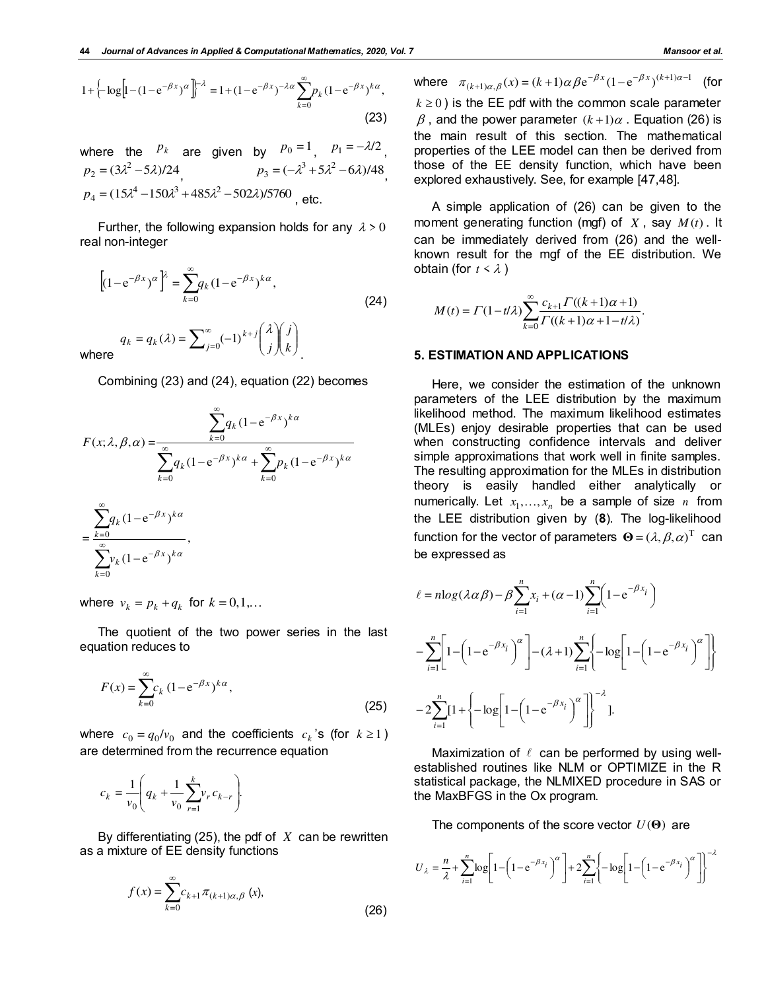$$
1 + \left\{-\log\left[1 - (1 - e^{-\beta x})^{\alpha}\right]\right\}^{-\lambda} = 1 + (1 - e^{-\beta x})^{-\lambda \alpha} \sum_{k=0}^{\infty} p_k (1 - e^{-\beta x})^{k\alpha},\tag{23}
$$

where the  $P_k$  are given by  $P_0 = 1$ ,  $p_1 = -\lambda/2$ ,  $p_2 = (3\lambda^2 - 5\lambda)/24$ ,  $p_3 = (-\lambda^3 + 5\lambda^2 - 6\lambda)/48$  $p_4 = (15\lambda^4 - 150\lambda^3 + 485\lambda^2 - 502\lambda) / 5760$ , etc.

Further, the following expansion holds for any  $\lambda > 0$ real non-integer

$$
\left[ (1 - e^{-\beta x})^{\alpha} \right]^{\lambda} = \sum_{k=0}^{\infty} q_k (1 - e^{-\beta x})^{k\alpha},
$$
\n
$$
q_k = q_k(\lambda) = \sum_{j=0}^{\infty} (-1)^{k+j} {\lambda \choose j} {j \choose k},
$$
\nwhere

Combining (23) and (24), equation (22) becomes

$$
F(x; \lambda, \beta, \alpha) = \frac{\sum_{k=0}^{\infty} q_k (1 - e^{-\beta x})^{k\alpha}}{\sum_{k=0}^{\infty} q_k (1 - e^{-\beta x})^{k\alpha} + \sum_{k=0}^{\infty} p_k (1 - e^{-\beta x})^{k\alpha}}
$$

$$
= \frac{\sum_{k=0}^{\infty} q_k (1 - e^{-\beta x})^{k\alpha}}{\sum_{k=0}^{\infty} v_k (1 - e^{-\beta x})^{k\alpha}},
$$

where  $v_k = p_k + q_k$  for  $k = 0, 1, \dots$ 

The quotient of the two power series in the last equation reduces to

$$
F(x) = \sum_{k=0}^{\infty} c_k (1 - e^{-\beta x})^{k\alpha},
$$
\n(25)

where  $c_0 = q_0/v_0$  and the coefficients  $c_k$ 's (for  $k \ge 1$ ) are determined from the recurrence equation

$$
c_k = \frac{1}{v_0} \left( q_k + \frac{1}{v_0} \sum_{r=1}^k v_r c_{k-r} \right).
$$

By differentiating (25), the pdf of *X* can be rewritten as a mixture of EE density functions

$$
f(x) = \sum_{k=0}^{\infty} c_{k+1} \pi_{(k+1)\alpha, \beta} (x),
$$

(26)

where  $\pi_{(k+1)\alpha,\beta}(x) = (k+1)\alpha \beta e^{-\beta x} (1-e^{-\beta x})^{(k+1)\alpha-1}$  (for  $k \geq 0$ ) is the EE pdf with the common scale parameter  $\beta$ , and the power parameter  $(k+1)\alpha$ . Equation (26) is the main result of this section. The mathematical properties of the LEE model can then be derived from those of the EE density function, which have been explored exhaustively. See, for example [47,48].

A simple application of (26) can be given to the moment generating function (mgf) of  $X$ , say  $M(t)$ . It can be immediately derived from (26) and the wellknown result for the mgf of the EE distribution. We obtain (for  $t \leq \lambda$ )

$$
M(t) = \Gamma(1 - t/\lambda) \sum_{k=0}^{\infty} \frac{c_{k+1} \Gamma((k+1)\alpha + 1)}{\Gamma((k+1)\alpha + 1 - t/\lambda)}.
$$

#### **5. ESTIMATION AND APPLICATIONS**

Here, we consider the estimation of the unknown parameters of the LEE distribution by the maximum likelihood method. The maximum likelihood estimates (MLEs) enjoy desirable properties that can be used when constructing confidence intervals and deliver simple approximations that work well in finite samples. The resulting approximation for the MLEs in distribution theory is easily handled either analytically or numerically. Let  $x_1, \ldots, x_n$  be a sample of size *n* from the LEE distribution given by (**8**). The log-likelihood function for the vector of parameters  $\mathbf{\Theta} = (\lambda, \beta, \alpha)^{\mathrm{T}}$  can be expressed as

$$
\ell = n \log (\lambda \alpha \beta) - \beta \sum_{i=1}^{n} x_i + (\alpha - 1) \sum_{i=1}^{n} \left( 1 - e^{-\beta x_i} \right)
$$
  

$$
- \sum_{i=1}^{n} \left[ 1 - \left( 1 - e^{-\beta x_i} \right)^{\alpha} \right] - (\lambda + 1) \sum_{i=1}^{n} \left\{ -\log \left[ 1 - \left( 1 - e^{-\beta x_i} \right)^{\alpha} \right] \right\}
$$
  

$$
- 2 \sum_{i=1}^{n} \left[ 1 + \left\{ -\log \left[ 1 - \left( 1 - e^{-\beta x_i} \right)^{\alpha} \right] \right\}^{-\lambda} \right].
$$

Maximization of  $\ell$  can be performed by using wellestablished routines like NLM or OPTIMIZE in the R statistical package, the NLMIXED procedure in SAS or the MaxBFGS in the Ox program.

The components of the score vector  $U(\Theta)$  are

$$
U_{\lambda} = \frac{n}{\lambda} + \sum_{i=1}^{n} \log \left[ 1 - \left( 1 - e^{-\beta x_i} \right)^{\alpha} \right] + 2 \sum_{i=1}^{n} \left\{ -\log \left[ 1 - \left( 1 - e^{-\beta x_i} \right)^{\alpha} \right] \right\}^{-\lambda}
$$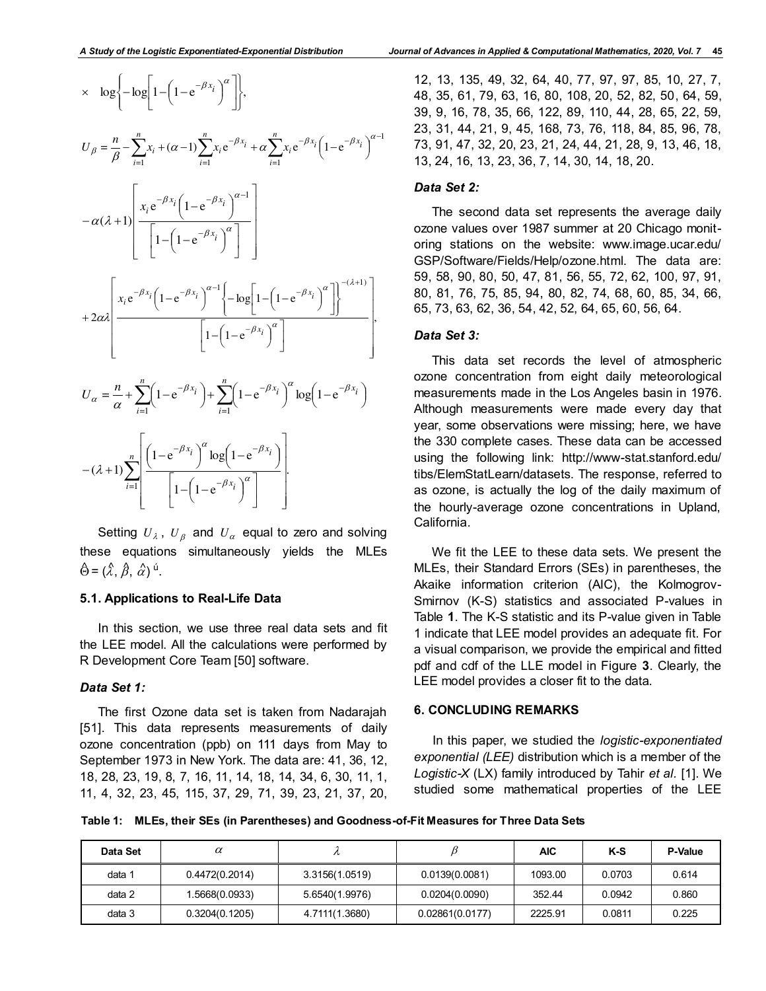

Setting  $\mathit{U}_{\lambda}$  ,  $\mathit{U}_{\beta}$  and  $\mathit{U}_{\alpha}$  equal to zero and solving these equations simultaneously yields the MLEs  $\hat{\Theta} = (\hat{\lambda}, \hat{\beta}, \hat{\alpha})^{\hat{u}}$ .

# **5.1. Applications to Real-Life Data**

In this section, we use three real data sets and fit the LEE model. All the calculations were performed by R Development Core Team [50] software.

# *Data Set 1:*

The first Ozone data set is taken from Nadarajah [51]. This data represents measurements of daily ozone concentration (ppb) on 111 days from May to September 1973 in New York. The data are: 41, 36, 12, 18, 28, 23, 19, 8, 7, 16, 11, 14, 18, 14, 34, 6, 30, 11, 1, 11, 4, 32, 23, 45, 115, 37, 29, 71, 39, 23, 21, 37, 20,

12, 13, 135, 49, 32, 64, 40, 77, 97, 97, 85, 10, 27, 7, 48, 35, 61, 79, 63, 16, 80, 108, 20, 52, 82, 50, 64, 59, 39, 9, 16, 78, 35, 66, 122, 89, 110, 44, 28, 65, 22, 59, 23, 31, 44, 21, 9, 45, 168, 73, 76, 118, 84, 85, 96, 78, 73, 91, 47, 32, 20, 23, 21, 24, 44, 21, 28, 9, 13, 46, 18, 13, 24, 16, 13, 23, 36, 7, 14, 30, 14, 18, 20.

## *Data Set 2:*

The second data set represents the average daily ozone values over 1987 summer at 20 Chicago monitoring stations on the website: www.image.ucar.edu/ GSP/Software/Fields/Help/ozone.html. The data are: 59, 58, 90, 80, 50, 47, 81, 56, 55, 72, 62, 100, 97, 91, 80, 81, 76, 75, 85, 94, 80, 82, 74, 68, 60, 85, 34, 66, 65, 73, 63, 62, 36, 54, 42, 52, 64, 65, 60, 56, 64.

## *Data Set 3:*

This data set records the level of atmospheric ozone concentration from eight daily meteorological measurements made in the Los Angeles basin in 1976. Although measurements were made every day that year, some observations were missing; here, we have the 330 complete cases. These data can be accessed using the following link: http://www-stat.stanford.edu/ tibs/ElemStatLearn/datasets. The response, referred to as ozone, is actually the log of the daily maximum of the hourly-average ozone concentrations in Upland, California.

We fit the LEE to these data sets. We present the MLEs, their Standard Errors (SEs) in parentheses, the Akaike information criterion (AIC), the Kolmogrov-Smirnov (K-S) statistics and associated P-values in Table **1**. The K-S statistic and its P-value given in Table 1 indicate that LEE model provides an adequate fit. For a visual comparison, we provide the empirical and fitted pdf and cdf of the LLE model in Figure **3**. Clearly, the LEE model provides a closer fit to the data.

# **6. CONCLUDING REMARKS**

In this paper, we studied the *logistic-exponentiated exponential (LEE)* distribution which is a member of the *Logistic-X* (LX) family introduced by Tahir *et al.* [1]. We studied some mathematical properties of the LEE

**Table 1: MLEs, their SEs (in Parentheses) and Goodness-of-Fit Measures for Three Data Sets**

| Data Set | $\alpha$       |                |                 | AIC     | K-S    | P-Value |
|----------|----------------|----------------|-----------------|---------|--------|---------|
| data 1   | 0.4472(0.2014) | 3.3156(1.0519) | 0.0139(0.0081)  | 1093.00 | 0.0703 | 0.614   |
| data 2   | 1.5668(0.0933) | 5.6540(1.9976) | 0.0204(0.0090)  | 352.44  | 0.0942 | 0.860   |
| data 3   | 0.3204(0.1205) | 4.7111(1.3680) | 0.02861(0.0177) | 2225.91 | 0.0811 | 0.225   |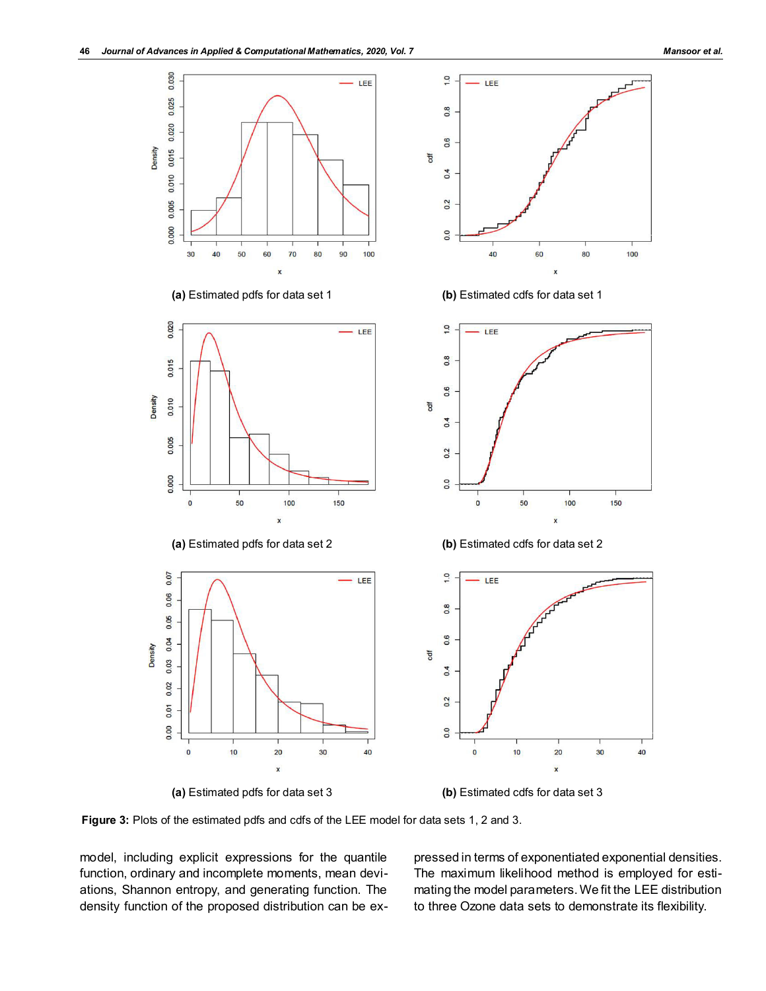

**(a)** Estimated pdfs for data set 3 **(b)** Estimated cdfs for data set 3



**Figure 3:** Plots of the estimated pdfs and cdfs of the LEE model for data sets 1, 2 and 3.

model, including explicit expressions for the quantile function, ordinary and incomplete moments, mean deviations, Shannon entropy, and generating function. The density function of the proposed distribution can be expressed in terms of exponentiated exponential densities. The maximum likelihood method is employed for estimating the model parameters. We fit the LEE distribution to three Ozone data sets to demonstrate its flexibility.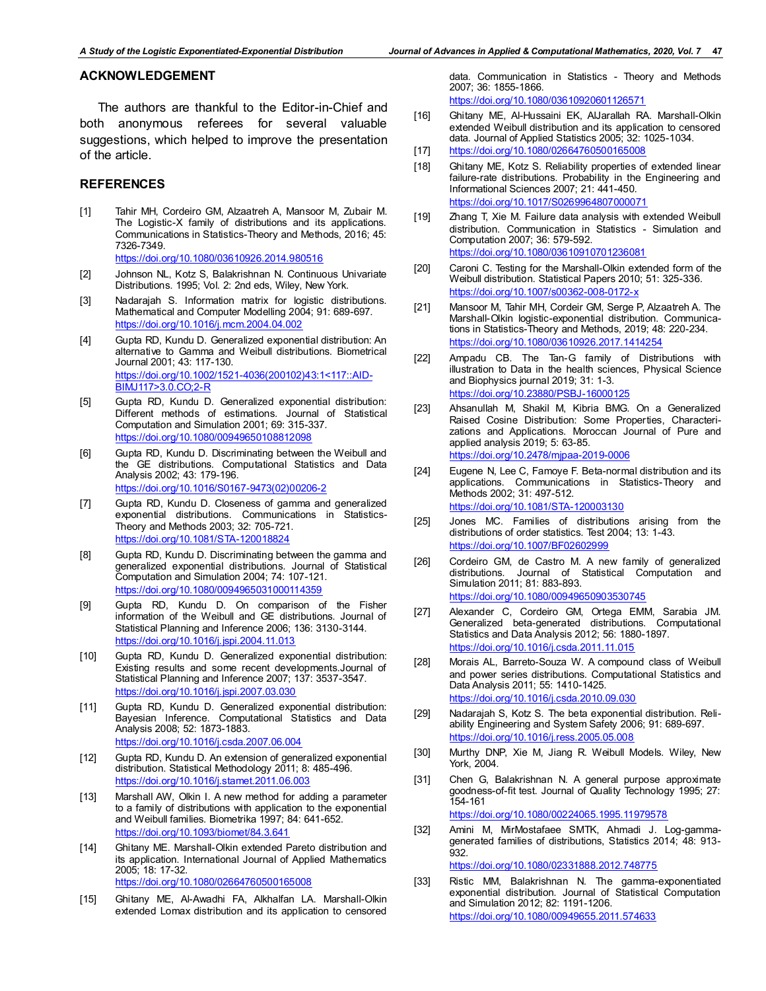# **ACKNOWLEDGEMENT**

The authors are thankful to the Editor-in-Chief and both anonymous referees for several valuable suggestions, which helped to improve the presentation of the article.

## **REFERENCES**

- [1] Tahir MH, Cordeiro GM, Alzaatreh A, Mansoor M, Zubair M. The Logistic-X family of distributions and its applications. Communications in Statistics-Theory and Methods, 2016; 45: 7326-7349. <https://doi.org/10.1080/03610926.2014.980516>
- [2] Johnson NL, Kotz S, Balakrishnan N. Continuous Univariate Distributions. 1995; Vol. 2: 2nd eds, Wiley, New York.
- [3] Nadarajah S. Information matrix for logistic distributions. Mathematical and Computer Modelling 2004; 91: 689-697. <https://doi.org/10.1016/j.mcm.2004.04.002>
- [4] Gupta RD, Kundu D. Generalized exponential distribution: An alternative to Gamma and Weibull distributions. Biometrical Journal 2001; 43: 117-130. [https://doi.org/10.1002/1521-4036\(200102\)43:1<117::AID-](https://doi.org/10.1002/1521-4036(200102)43:1%3C117::AID-BIMJ117%3E3.0.CO;2-R)[BIMJ117>3.0.CO;2-R](https://doi.org/10.1002/1521-4036(200102)43:1%3C117::AID-BIMJ117%3E3.0.CO;2-R)
- [5] Gupta RD, Kundu D. Generalized exponential distribution: Different methods of estimations. Journal of Statistical Computation and Simulation 2001; 69: 315-337. <https://doi.org/10.1080/00949650108812098>
- [6] Gupta RD, Kundu D. Discriminating between the Weibull and the GE distributions. Computational Statistics and Data Analysis 2002; 43: 179-196. [https://doi.org/10.1016/S0167-9473\(02\)00206-2](https://doi.org/10.1016/S0167-9473(02)00206-2)
- [7] Gupta RD, Kundu D. Closeness of gamma and generalized exponential distributions. Communications in Statistics-Theory and Methods 2003; 32: 705-721. <https://doi.org/10.1081/STA-120018824>
- [8] Gupta RD, Kundu D. Discriminating between the gamma and generalized exponential distributions. Journal of Statistical Computation and Simulation 2004; 74: 107-121. <https://doi.org/10.1080/0094965031000114359>
- [9] Gupta RD, Kundu D. On comparison of the Fisher information of the Weibull and GE distributions. Journal of Statistical Planning and Inference 2006; 136: 3130-3144. <https://doi.org/10.1016/j.jspi.2004.11.013>
- [10] Gupta RD, Kundu D. Generalized exponential distribution: Existing results and some recent developments.Journal of Statistical Planning and Inference 2007; 137: 3537-3547. <https://doi.org/10.1016/j.jspi.2007.03.030>
- [11] Gupta RD, Kundu D. Generalized exponential distribution: Bayesian Inference. Computational Statistics and Data Analysis 2008; 52: 1873-1883. <https://doi.org/10.1016/j.csda.2007.06.004>
- [12] Gupta RD, Kundu D. An extension of generalized exponential distribution. Statistical Methodology 2011; 8: 485-496. <https://doi.org/10.1016/j.stamet.2011.06.003>
- [13] Marshall AW, Olkin I. A new method for adding a parameter to a family of distributions with application to the exponential and Weibull families. Biometrika 1997; 84: 641-652. <https://doi.org/10.1093/biomet/84.3.641>
- [14] Ghitany ME. Marshall-Olkin extended Pareto distribution and its application. International Journal of Applied Mathematics 2005; 18: 17-32. <https://doi.org/10.1080/02664760500165008>
- [15] Ghitany ME, Al-Awadhi FA, Alkhalfan LA. Marshall-Olkin extended Lomax distribution and its application to censored

data. Communication in Statistics - Theory and Methods 2007; 36: 1855-1866.

<https://doi.org/10.1080/03610920601126571>

- [16] Ghitany ME, Al-Hussaini EK, AlJarallah RA. Marshall-Olkin extended Weibull distribution and its application to censored data. Journal of Applied Statistics 2005; 32: 1025-1034.
- [17] <https://doi.org/10.1080/02664760500165008>
- [18] Ghitany ME, Kotz S. Reliability properties of extended linear failure-rate distributions. Probability in the Engineering and Informational Sciences 2007; 21: 441-450. <https://doi.org/10.1017/S0269964807000071>
- [19] Zhang T, Xie M. Failure data analysis with extended Weibull distribution. Communication in Statistics - Simulation and Computation 2007; 36: 579-592. <https://doi.org/10.1080/03610910701236081>
- [20] Caroni C. Testing for the Marshall-Olkin extended form of the Weibull distribution. Statistical Papers 2010; 51: 325-336. <https://doi.org/10.1007/s00362-008-0172-x>
- [21] Mansoor M, Tahir MH, Cordeir GM, Serge P, Alzaatreh A. The Marshall-Olkin logistic-exponential distribution. Communications in Statistics-Theory and Methods, 2019; 48: 220-234. <https://doi.org/10.1080/03610926.2017.1414254>
- [22] Ampadu CB. The Tan-G family of Distributions with illustration to Data in the health sciences, Physical Science and Biophysics journal 2019; 31: 1-3. <https://doi.org/10.23880/PSBJ-16000125>
- [23] Ahsanullah M, Shakil M, Kibria BMG. On a Generalized Raised Cosine Distribution: Some Properties, Characterizations and Applications. Moroccan Journal of Pure and applied analysis 2019; 5: 63-85. <https://doi.org/10.2478/mjpaa-2019-0006>
- [24] Eugene N, Lee C, Famoye F. Beta-normal distribution and its applications. Communications in Statistics-Theory and Methods 2002; 31: 497-512. <https://doi.org/10.1081/STA-120003130>
- [25] Jones MC. Families of distributions arising from the distributions of order statistics. Test 2004; 13: 1-43. <https://doi.org/10.1007/BF02602999>
- [26] Cordeiro GM, de Castro M. A new family of generalized distributions. Journal of Statistical Computation and Simulation 2011; 81: 883-893. <https://doi.org/10.1080/00949650903530745>
- [27] Alexander C, Cordeiro GM, Ortega EMM, Sarabia JM. Generalized beta-generated distributions. Computational Statistics and Data Analysis 2012; 56: 1880-1897. <https://doi.org/10.1016/j.csda.2011.11.015>
- [28] Morais AL, Barreto-Souza W. A compound class of Weibull and power series distributions. Computational Statistics and Data Analysis 2011; 55: 1410-1425. <https://doi.org/10.1016/j.csda.2010.09.030>
- [29] Nadarajah S, Kotz S. The beta exponential distribution. Reliability Engineering and System Safety 2006; 91: 689-697. <https://doi.org/10.1016/j.ress.2005.05.008>
- [30] Murthy DNP, Xie M, Jiang R. Weibull Models. Wiley, New York, 2004.
- [31] Chen G, Balakrishnan N. A general purpose approximate goodness-of-fit test. Journal of Quality Technology 1995; 27: 154-161 <https://doi.org/10.1080/00224065.1995.11979578>
- [32] Amini M, MirMostafaee SMTK, Ahmadi J. Log-gammagenerated families of distributions, Statistics 2014; 48: 913- 932. <https://doi.org/10.1080/02331888.2012.748775>
- [33] Ristic MM, Balakrishnan N. The gamma-exponentiated exponential distribution. Journal of Statistical Computation and Simulation 2012; 82: 1191-1206. <https://doi.org/10.1080/00949655.2011.574633>